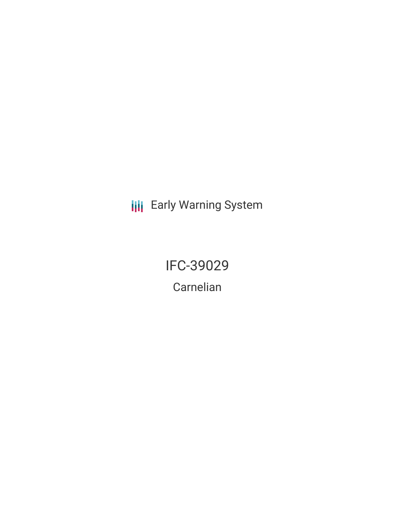**III** Early Warning System

IFC-39029 Carnelian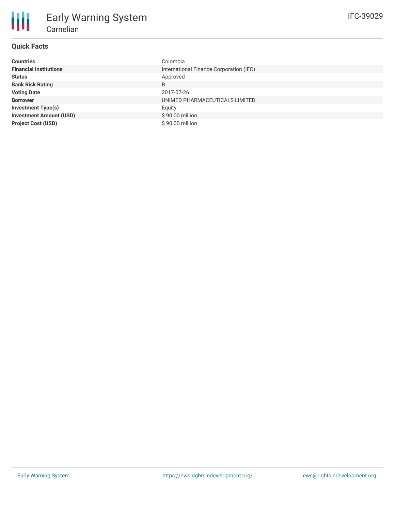## **Quick Facts**

| <b>Countries</b>               | Colombia                                |
|--------------------------------|-----------------------------------------|
| <b>Financial Institutions</b>  | International Finance Corporation (IFC) |
| <b>Status</b>                  | Approved                                |
| <b>Bank Risk Rating</b>        | B                                       |
| <b>Voting Date</b>             | 2017-07-26                              |
| <b>Borrower</b>                | UNIMED PHARMACEUTICALS LIMITED          |
| <b>Investment Type(s)</b>      | Equity                                  |
| <b>Investment Amount (USD)</b> | \$90.00 million                         |
| <b>Project Cost (USD)</b>      | \$90.00 million                         |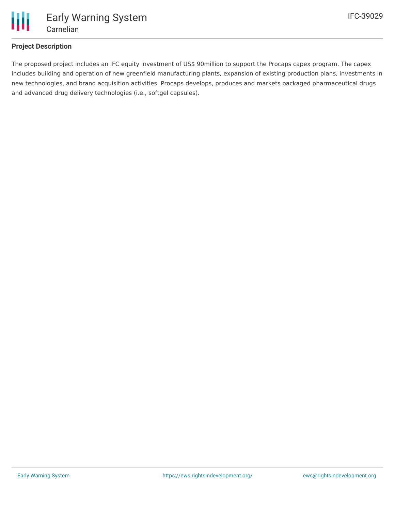

## **Project Description**

The proposed project includes an IFC equity investment of US\$ 90million to support the Procaps capex program. The capex includes building and operation of new greenfield manufacturing plants, expansion of existing production plans, investments in new technologies, and brand acquisition activities. Procaps develops, produces and markets packaged pharmaceutical drugs and advanced drug delivery technologies (i.e., softgel capsules).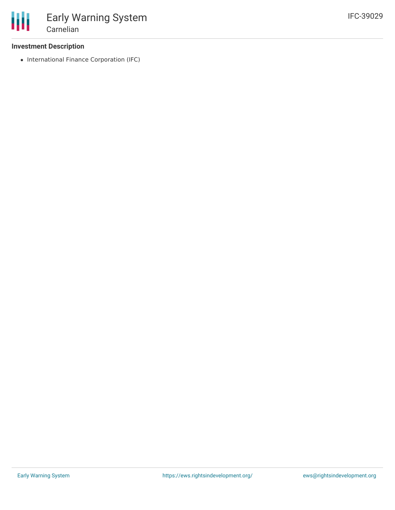## **Investment Description**

• International Finance Corporation (IFC)